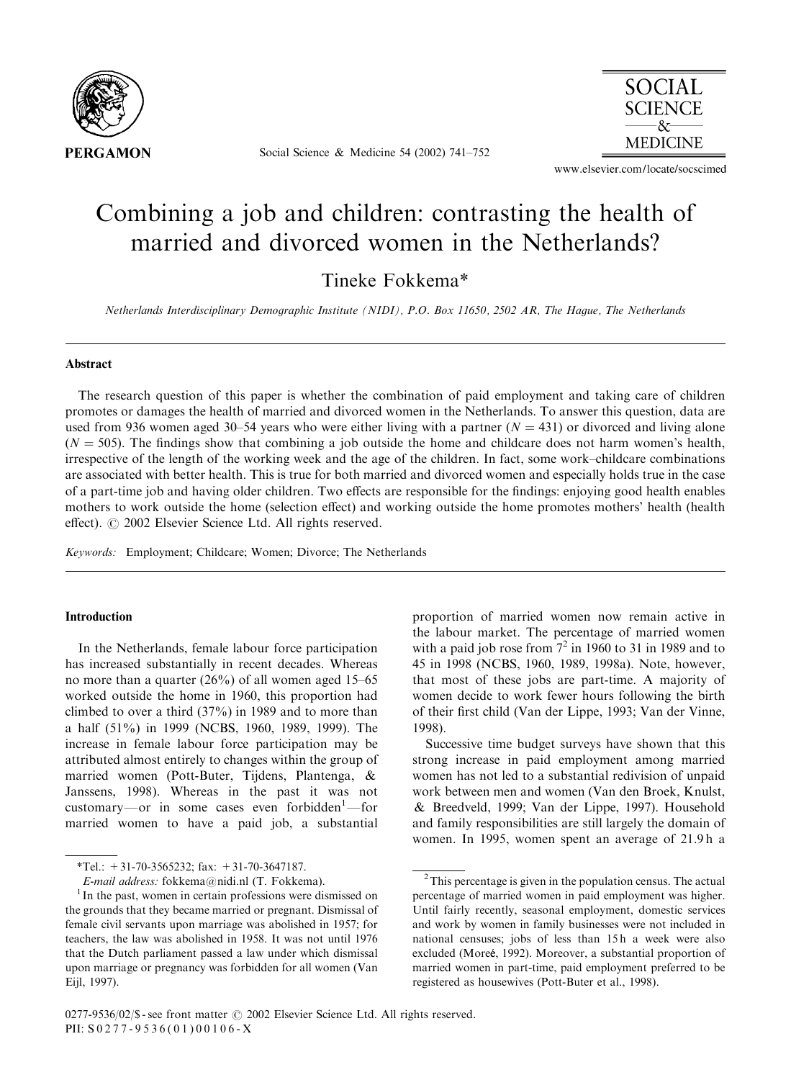

Social Science & Medicine 54 (2002) 741-752



www.elsevier.com/locate/socscimed

# Combining a job and children: contrasting the health of married and divorced women in the Netherlands?

Tineke Fokkema\*

Netherlands Interdisciplinary Demographic Institute (NIDI), P.O. Box 11650, 2502 AR, The Hague, The Netherlands

## Abstract

The research question of this paper is whether the combination of paid employment and taking care of children promotes or damages the health of married and divorced women in the Netherlands. To answer this question, data are used from 936 women aged 30–54 years who were either living with a partner  $(N = 431)$  or divorced and living alone  $(N = 505)$ . The findings show that combining a job outside the home and childcare does not harm women's health, irrespective of the length of the working week and the age of the children. In fact, some work–childcare combinations are associated with better health. This is true for both married and divorced women and especially holds true in the case of a part-time job and having older children. Two effects are responsible for the findings: enjoying good health enables mothers to work outside the home (selection effect) and working outside the home promotes mothers' health (health effect).  $\odot$  2002 Elsevier Science Ltd. All rights reserved.

Keywords: Employment; Childcare; Women; Divorce; The Netherlands

# Introduction

In the Netherlands, female labour force participation has increased substantially in recent decades. Whereas no more than a quarter (26%) of all women aged 15–65 worked outside the home in 1960, this proportion had climbed to over a third (37%) in 1989 and to more than a half (51%) in 1999 (NCBS, 1960, 1989, 1999). The increase in female labour force participation may be attributed almost entirely to changes within the group of married women (Pott-Buter, Tijdens, Plantenga,  $\&$ Janssens, 1998). Whereas in the past it was not customary—or in some cases even forbidden<sup>1</sup>—for married women to have a paid job, a substantial

\*Tel.:  $+31-70-3565232$ ; fax:  $+31-70-3647187$ .

proportion of married women now remain active in the labour market. The percentage of married women with a paid job rose from  $7^2$  in 1960 to 31 in 1989 and to 45 in 1998 (NCBS, 1960, 1989, 1998a). Note, however, that most of these jobs are part-time. A majority of women decide to work fewer hours following the birth of their first child (Van der Lippe, 1993; Van der Vinne, 1998).

Successive time budget surveys have shown that this strong increase in paid employment among married women has not led to a substantial redivision of unpaid work between men and women (Van den Broek, Knulst, a Breedveld, 1999; Van der Lippe, 1997). Household and family responsibilities are still largely the domain of women. In 1995, women spent an average of 21.9 h a

E-mail address: fokkema@nidi.nl (T. Fokkema). <sup>1</sup> In the past, women in certain professions were dismissed on the grounds that they became married or pregnant. Dismissal of female civil servants upon marriage was abolished in 1957; for teachers, the law was abolished in 1958. It was not until 1976 that the Dutch parliament passed a lawunder which dismissal upon marriage or pregnancy was forbidden for all women (Van Eijl, 1997).

 $2$ This percentage is given in the population census. The actual percentage of married women in paid employment was higher. Until fairly recently, seasonal employment, domestic services and work by women in family businesses were not included in national censuses; jobs of less than 15 h a week were also excluded (Moreé, 1992). Moreover, a substantial proportion of married women in part-time, paid employment preferred to be registered as housewives (Pott-Buter et al., 1998).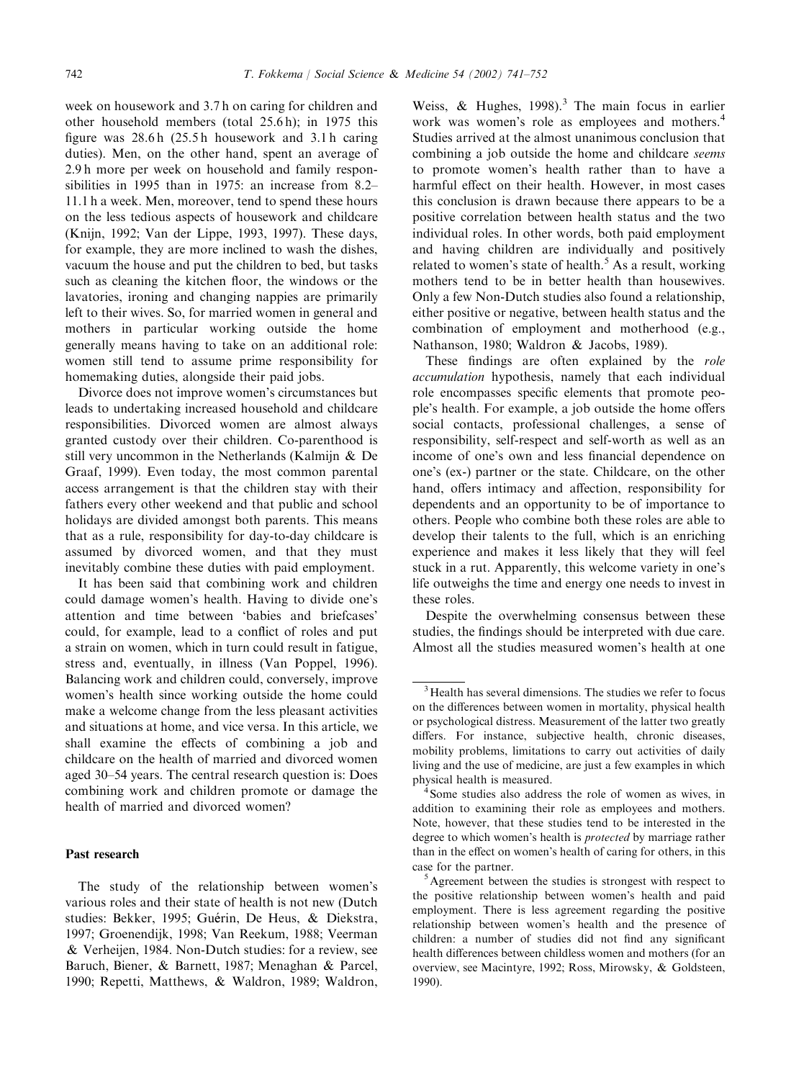week on housework and 3.7 h on caring for children and other household members (total 25.6 h); in 1975 this figure was 28.6 h (25.5 h housework and 3.1 h caring duties). Men, on the other hand, spent an average of 2.9 h more per week on household and family responsibilities in 1995 than in 1975: an increase from 8.2– 11.1 h a week. Men, moreover, tend to spend these hours on the less tedious aspects of housework and childcare (Knijn, 1992; Van der Lippe, 1993, 1997). These days, for example, they are more inclined to wash the dishes, vacuum the house and put the children to bed, but tasks such as cleaning the kitchen floor, the windows or the lavatories, ironing and changing nappies are primarily left to their wives. So, for married women in general and mothers in particular working outside the home generally means having to take on an additional role: women still tend to assume prime responsibility for homemaking duties, alongside their paid jobs.

Divorce does not improve women's circumstances but leads to undertaking increased household and childcare responsibilities. Divorced women are almost always granted custody over their children. Co-parenthood is still very uncommon in the Netherlands (Kalmijn  $\&$  De Graaf, 1999). Even today, the most common parental access arrangement is that the children stay with their fathers every other weekend and that public and school holidays are divided amongst both parents. This means that as a rule, responsibility for day-to-day childcare is assumed by divorced women, and that they must inevitably combine these duties with paid employment.

It has been said that combining work and children could damage women's health. Having to divide one's attention and time between 'babies and briefcases' could, for example, lead to a conflict of roles and put a strain on women, which in turn could result in fatigue, stress and, eventually, in illness (Van Poppel, 1996). Balancing work and children could, conversely, improve women's health since working outside the home could make a welcome change from the less pleasant activities and situations at home, and vice versa. In this article, we shall examine the effects of combining a job and childcare on the health of married and divorced women aged 30–54 years. The central research question is: Does combining work and children promote or damage the health of married and divorced women?

# Past research

The study of the relationship between women's various roles and their state of health is not new(Dutch studies: Bekker, 1995; Guérin, De Heus, & Diekstra, 1997; Groenendijk, 1998; Van Reekum, 1988; Veerman a Verheijen, 1984. Non-Dutch studies: for a review, see Baruch, Biener, & Barnett, 1987; Menaghan & Parcel, 1990; Repetti, Matthews, & Waldron, 1989; Waldron,

Weiss,  $\&$  Hughes, 1998).<sup>3</sup> The main focus in earlier work was women's role as employees and mothers.<sup>4</sup> Studies arrived at the almost unanimous conclusion that combining a job outside the home and childcare seems to promote women's health rather than to have a harmful effect on their health. However, in most cases this conclusion is drawn because there appears to be a positive correlation between health status and the two individual roles. In other words, both paid employment and having children are individually and positively related to women's state of health.<sup>5</sup> As a result, working mothers tend to be in better health than housewives. Only a few Non-Dutch studies also found a relationship, either positive or negative, between health status and the combination of employment and motherhood (e.g., Nathanson, 1980; Waldron & Jacobs, 1989).

These findings are often explained by the role accumulation hypothesis, namely that each individual role encompasses specific elements that promote people's health. For example, a job outside the home offers social contacts, professional challenges, a sense of responsibility, self-respect and self-worth as well as an income of one's own and less financial dependence on one's (ex-) partner or the state. Childcare, on the other hand, offers intimacy and affection, responsibility for dependents and an opportunity to be of importance to others. People who combine both these roles are able to develop their talents to the full, which is an enriching experience and makes it less likely that they will feel stuck in a rut. Apparently, this welcome variety in one's life outweighs the time and energy one needs to invest in these roles.

Despite the overwhelming consensus between these studies, the findings should be interpreted with due care. Almost all the studies measured women's health at one

 $3$  Health has several dimensions. The studies we refer to focus on the differences between women in mortality, physical health or psychological distress. Measurement of the latter two greatly differs. For instance, subjective health, chronic diseases, mobility problems, limitations to carry out activities of daily living and the use of medicine, are just a fewexamples in which physical health is measured.<br><sup>4</sup>Some studies also address the role of women as wives, in

addition to examining their role as employees and mothers. Note, however, that these studies tend to be interested in the degree to which women's health is protected by marriage rather than in the effect on women's health of caring for others, in this case for the partner.<br><sup>5</sup>Agreement between the studies is strongest with respect to

the positive relationship between women's health and paid employment. There is less agreement regarding the positive relationship between women's health and the presence of children: a number of studies did not find any significant health differences between childless women and mothers (for an overview, see Macintyre, 1992; Ross, Mirowsky, & Goldsteen, 1990).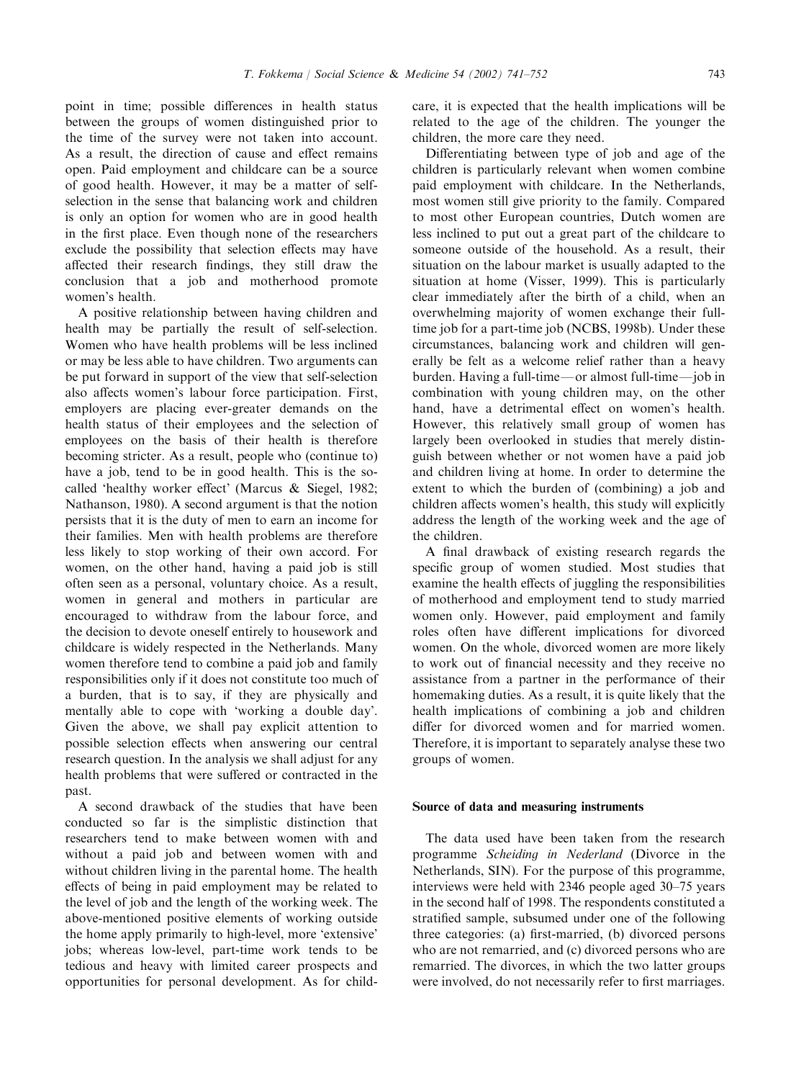point in time; possible differences in health status between the groups of women distinguished prior to the time of the survey were not taken into account. As a result, the direction of cause and effect remains open. Paid employment and childcare can be a source of good health. However, it may be a matter of selfselection in the sense that balancing work and children is only an option for women who are in good health in the first place. Even though none of the researchers exclude the possibility that selection effects may have affected their research findings, they still draw the conclusion that a job and motherhood promote women's health.

A positive relationship between having children and health may be partially the result of self-selection. Women who have health problems will be less inclined or may be less able to have children. Two arguments can be put forward in support of the view that self-selection also affects women's labour force participation. First, employers are placing ever-greater demands on the health status of their employees and the selection of employees on the basis of their health is therefore becoming stricter. As a result, people who (continue to) have a job, tend to be in good health. This is the socalled 'healthy worker effect' (Marcus  $\&$  Siegel, 1982; Nathanson, 1980). A second argument is that the notion persists that it is the duty of men to earn an income for their families. Men with health problems are therefore less likely to stop working of their own accord. For women, on the other hand, having a paid job is still often seen as a personal, voluntary choice. As a result, women in general and mothers in particular are encouraged to withdraw from the labour force, and the decision to devote oneself entirely to housework and childcare is widely respected in the Netherlands. Many women therefore tend to combine a paid job and family responsibilities only if it does not constitute too much of a burden, that is to say, if they are physically and mentally able to cope with 'working a double day'. Given the above, we shall pay explicit attention to possible selection effects when answering our central research question. In the analysis we shall adjust for any health problems that were suffered or contracted in the past.

A second drawback of the studies that have been conducted so far is the simplistic distinction that researchers tend to make between women with and without a paid job and between women with and without children living in the parental home. The health effects of being in paid employment may be related to the level of job and the length of the working week. The above-mentioned positive elements of working outside the home apply primarily to high-level, more 'extensive' jobs; whereas low-level, part-time work tends to be tedious and heavy with limited career prospects and opportunities for personal development. As for childcare, it is expected that the health implications will be related to the age of the children. The younger the children, the more care they need.

Differentiating between type of job and age of the children is particularly relevant when women combine paid employment with childcare. In the Netherlands, most women still give priority to the family. Compared to most other European countries, Dutch women are less inclined to put out a great part of the childcare to someone outside of the household. As a result, their situation on the labour market is usually adapted to the situation at home (Visser, 1999). This is particularly clear immediately after the birth of a child, when an overwhelming majority of women exchange their fulltime job for a part-time job (NCBS, 1998b). Under these circumstances, balancing work and children will generally be felt as a welcome relief rather than a heavy burden. Having a full-time—or almost full-time—job in combination with young children may, on the other hand, have a detrimental effect on women's health. However, this relatively small group of women has largely been overlooked in studies that merely distinguish between whether or not women have a paid job and children living at home. In order to determine the extent to which the burden of (combining) a job and children affects women's health, this study will explicitly address the length of the working week and the age of the children.

A final drawback of existing research regards the specific group of women studied. Most studies that examine the health effects of juggling the responsibilities of motherhood and employment tend to study married women only. However, paid employment and family roles often have different implications for divorced women. On the whole, divorced women are more likely to work out of financial necessity and they receive no assistance from a partner in the performance of their homemaking duties. As a result, it is quite likely that the health implications of combining a job and children differ for divorced women and for married women. Therefore, it is important to separately analyse these two groups of women.

## Source of data and measuring instruments

The data used have been taken from the research programme Scheiding in Nederland (Divorce in the Netherlands, SIN). For the purpose of this programme, interviews were held with 2346 people aged 30–75 years in the second half of 1998. The respondents constituted a stratified sample, subsumed under one of the following three categories: (a) first-married, (b) divorced persons who are not remarried, and (c) divorced persons who are remarried. The divorces, in which the two latter groups were involved, do not necessarily refer to first marriages.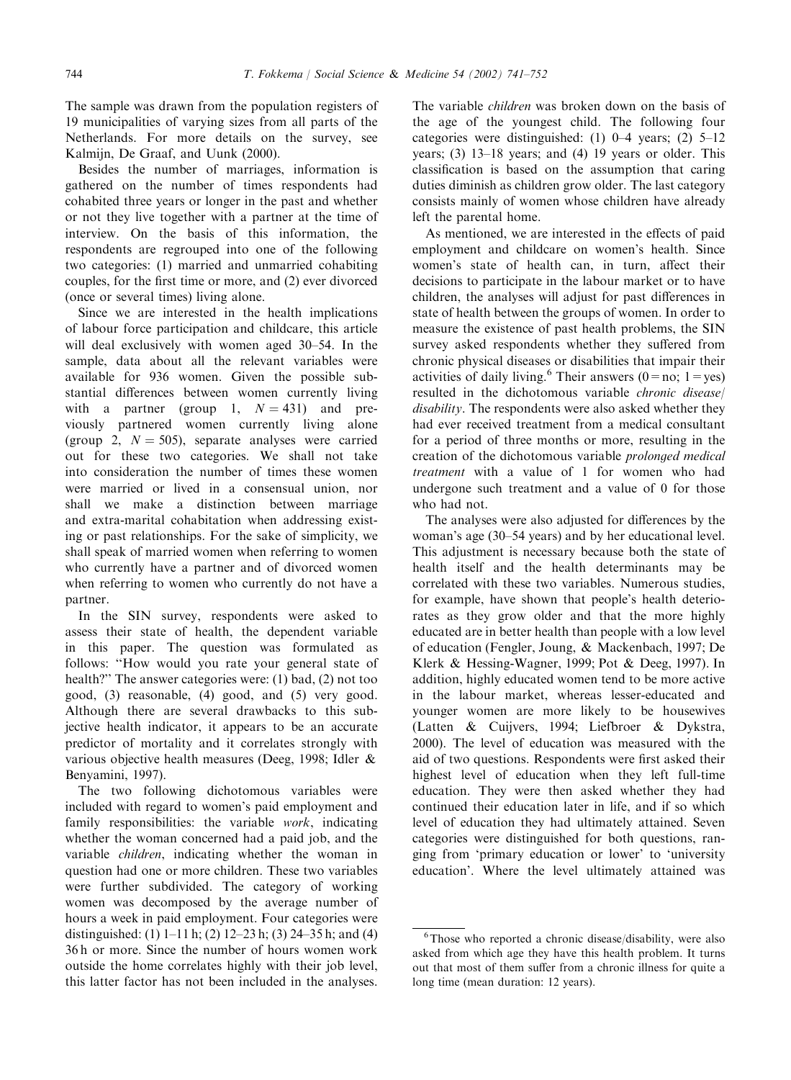The sample was drawn from the population registers of 19 municipalities of varying sizes from all parts of the Netherlands. For more details on the survey, see Kalmijn, De Graaf, and Uunk (2000).

Besides the number of marriages, information is gathered on the number of times respondents had cohabited three years or longer in the past and whether or not they live together with a partner at the time of interview. On the basis of this information, the respondents are regrouped into one of the following two categories: (1) married and unmarried cohabiting couples, for the first time or more, and (2) ever divorced (once or several times) living alone.

Since we are interested in the health implications of labour force participation and childcare, this article will deal exclusively with women aged 30–54. In the sample, data about all the relevant variables were available for 936 women. Given the possible substantial differences between women currently living with a partner (group 1,  $N = 431$ ) and previously partnered women currently living alone (group 2,  $N = 505$ ), separate analyses were carried out for these two categories. We shall not take into consideration the number of times these women were married or lived in a consensual union, nor shall we make a distinction between marriage and extra-marital cohabitation when addressing existing or past relationships. For the sake of simplicity, we shall speak of married women when referring to women who currently have a partner and of divorced women when referring to women who currently do not have a partner.

In the SIN survey, respondents were asked to assess their state of health, the dependent variable in this paper. The question was formulated as follows: ''How would you rate your general state of health?'' The answer categories were: (1) bad, (2) not too good, (3) reasonable, (4) good, and (5) very good. Although there are several drawbacks to this subjective health indicator, it appears to be an accurate predictor of mortality and it correlates strongly with various objective health measures (Deeg, 1998; Idler  $\&$ Benyamini, 1997).

The two following dichotomous variables were included with regard to women's paid employment and family responsibilities: the variable work, indicating whether the woman concerned had a paid job, and the variable children, indicating whether the woman in question had one or more children. These two variables were further subdivided. The category of working women was decomposed by the average number of hours a week in paid employment. Four categories were distinguished: (1)  $1-11$  h; (2)  $12-23$  h; (3)  $24-35$  h; and (4) 36 h or more. Since the number of hours women work outside the home correlates highly with their job level, this latter factor has not been included in the analyses.

The variable children was broken down on the basis of the age of the youngest child. The following four categories were distinguished: (1) 0–4 years; (2) 5–12 years; (3) 13–18 years; and (4) 19 years or older. This classification is based on the assumption that caring duties diminish as children growolder. The last category consists mainly of women whose children have already left the parental home.

As mentioned, we are interested in the effects of paid employment and childcare on women's health. Since women's state of health can, in turn, affect their decisions to participate in the labour market or to have children, the analyses will adjust for past differences in state of health between the groups of women. In order to measure the existence of past health problems, the SIN survey asked respondents whether they suffered from chronic physical diseases or disabilities that impair their activities of daily living.<sup>6</sup> Their answers ( $0 = no$ ; 1 = yes) resulted in the dichotomous variable chronic disease/ disability. The respondents were also asked whether they had ever received treatment from a medical consultant for a period of three months or more, resulting in the creation of the dichotomous variable prolonged medical treatment with a value of 1 for women who had undergone such treatment and a value of 0 for those who had not.

The analyses were also adjusted for differences by the woman's age (30–54 years) and by her educational level. This adjustment is necessary because both the state of health itself and the health determinants may be correlated with these two variables. Numerous studies, for example, have shown that people's health deteriorates as they grow older and that the more highly educated are in better health than people with a low level of education (Fengler, Joung, & Mackenbach, 1997; De Klerk & Hessing-Wagner, 1999; Pot & Deeg, 1997). In addition, highly educated women tend to be more active in the labour market, whereas lesser-educated and younger women are more likely to be housewives (Latten & Cuijvers, 1994; Liefbroer & Dykstra, 2000). The level of education was measured with the aid of two questions. Respondents were first asked their highest level of education when they left full-time education. They were then asked whether they had continued their education later in life, and if so which level of education they had ultimately attained. Seven categories were distinguished for both questions, ranging from 'primary education or lower' to 'university education'. Where the level ultimately attained was

<sup>&</sup>lt;sup>6</sup>Those who reported a chronic disease/disability, were also asked from which age they have this health problem. It turns out that most of them suffer from a chronic illness for quite a long time (mean duration: 12 years).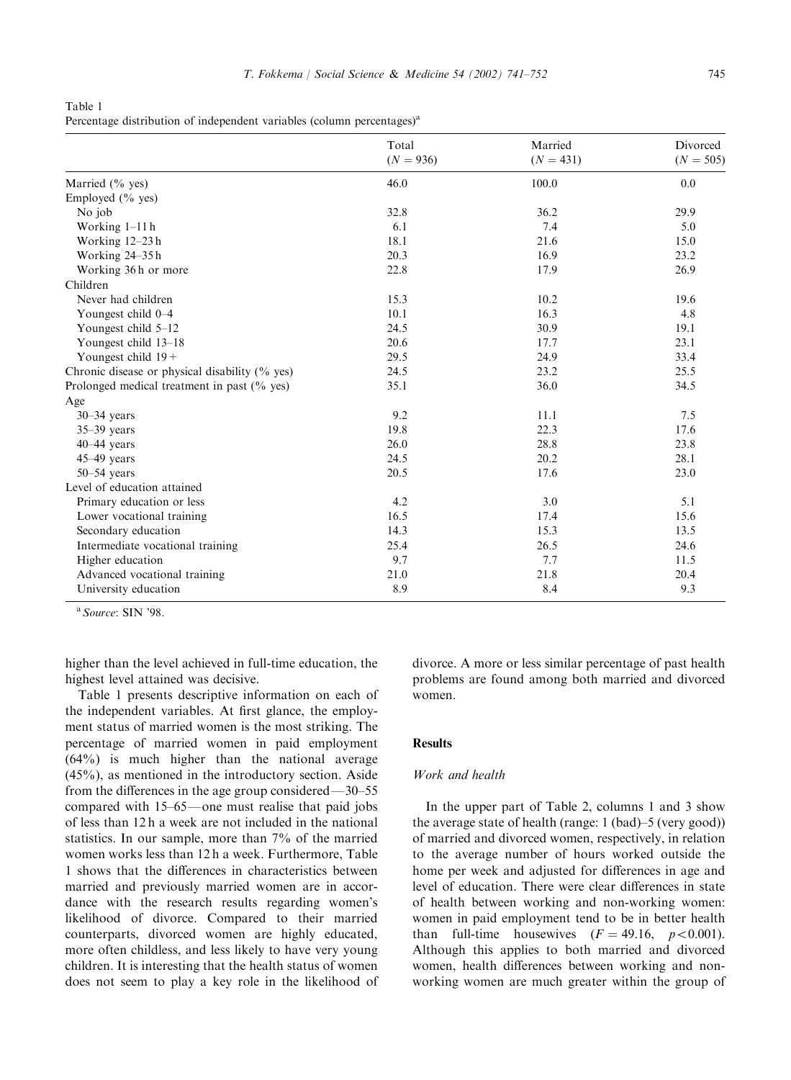Table 1 Percentage distribution of independent variables (column percentages)<sup>a</sup>

|                                                   | Total<br>$(N = 936)$ | Married<br>$(N = 431)$ | Divorced<br>$(N = 505)$ |
|---------------------------------------------------|----------------------|------------------------|-------------------------|
|                                                   |                      |                        |                         |
| Married $(\%$ yes)                                | 46.0                 | 100.0                  | 0.0                     |
| Employed $(\%$ yes)                               |                      |                        |                         |
| No job                                            | 32.8                 | 36.2                   | 29.9                    |
| Working $1-11$ h                                  | 6.1                  | 7.4                    | 5.0                     |
| Working 12-23 h                                   | 18.1                 | 21.6                   | 15.0                    |
| Working 24-35h                                    | 20.3                 | 16.9                   | 23.2                    |
| Working 36h or more                               | 22.8                 | 17.9                   | 26.9                    |
| Children                                          |                      |                        |                         |
| Never had children                                | 15.3                 | 10.2                   | 19.6                    |
| Youngest child 0-4                                | 10.1                 | 16.3                   | 4.8                     |
| Youngest child 5-12                               | 24.5                 | 30.9                   | 19.1                    |
| Youngest child 13-18                              | 20.6                 | 17.7                   | 23.1                    |
| Youngest child $19+$                              | 29.5                 | 24.9                   | 33.4                    |
| Chronic disease or physical disability $(\%$ yes) | 24.5                 | 23.2                   | 25.5                    |
| Prolonged medical treatment in past $(\%$ yes)    | 35.1                 | 36.0                   | 34.5                    |
| Age                                               |                      |                        |                         |
| $30 - 34$ years                                   | 9.2                  | 11.1                   | 7.5                     |
| $35 - 39$ years                                   | 19.8                 | 22.3                   | 17.6                    |
| $40-44$ years                                     | 26.0                 | 28.8                   | 23.8                    |
| $45-49$ years                                     | 24.5                 | 20.2                   | 28.1                    |
| $50 - 54$ years                                   | 20.5                 | 17.6                   | 23.0                    |
| Level of education attained                       |                      |                        |                         |
| Primary education or less                         | 4.2                  | 3.0                    | 5.1                     |
| Lower vocational training                         | 16.5                 | 17.4                   | 15.6                    |
| Secondary education                               | 14.3                 | 15.3                   | 13.5                    |
| Intermediate vocational training                  | 25.4                 | 26.5                   | 24.6                    |
| Higher education                                  | 9.7                  | 7.7                    | 11.5                    |
| Advanced vocational training                      | 21.0                 | 21.8                   | 20.4                    |
| University education                              | 8.9                  | 8.4                    | 9.3                     |

<sup>a</sup> Source: SIN '98.

higher than the level achieved in full-time education, the highest level attained was decisive.

Table 1 presents descriptive information on each of the independent variables. At first glance, the employment status of married women is the most striking. The percentage of married women in paid employment (64%) is much higher than the national average (45%), as mentioned in the introductory section. Aside from the differences in the age group considered $-30-55$ compared with  $15-65$ —one must realise that paid jobs of less than 12 h a week are not included in the national statistics. In our sample, more than 7% of the married women works less than 12 h a week. Furthermore, Table 1 shows that the differences in characteristics between married and previously married women are in accordance with the research results regarding women's likelihood of divorce. Compared to their married counterparts, divorced women are highly educated, more often childless, and less likely to have very young children. It is interesting that the health status of women does not seem to play a key role in the likelihood of divorce. A more or less similar percentage of past health problems are found among both married and divorced women.

#### Results

## Work and health

In the upper part of Table 2, columns 1 and 3 show the average state of health (range: 1 (bad)–5 (very good)) of married and divorced women, respectively, in relation to the average number of hours worked outside the home per week and adjusted for differences in age and level of education. There were clear differences in state of health between working and non-working women: women in paid employment tend to be in better health than full-time housewives  $(F = 49.16, p < 0.001)$ . Although this applies to both married and divorced women, health differences between working and nonworking women are much greater within the group of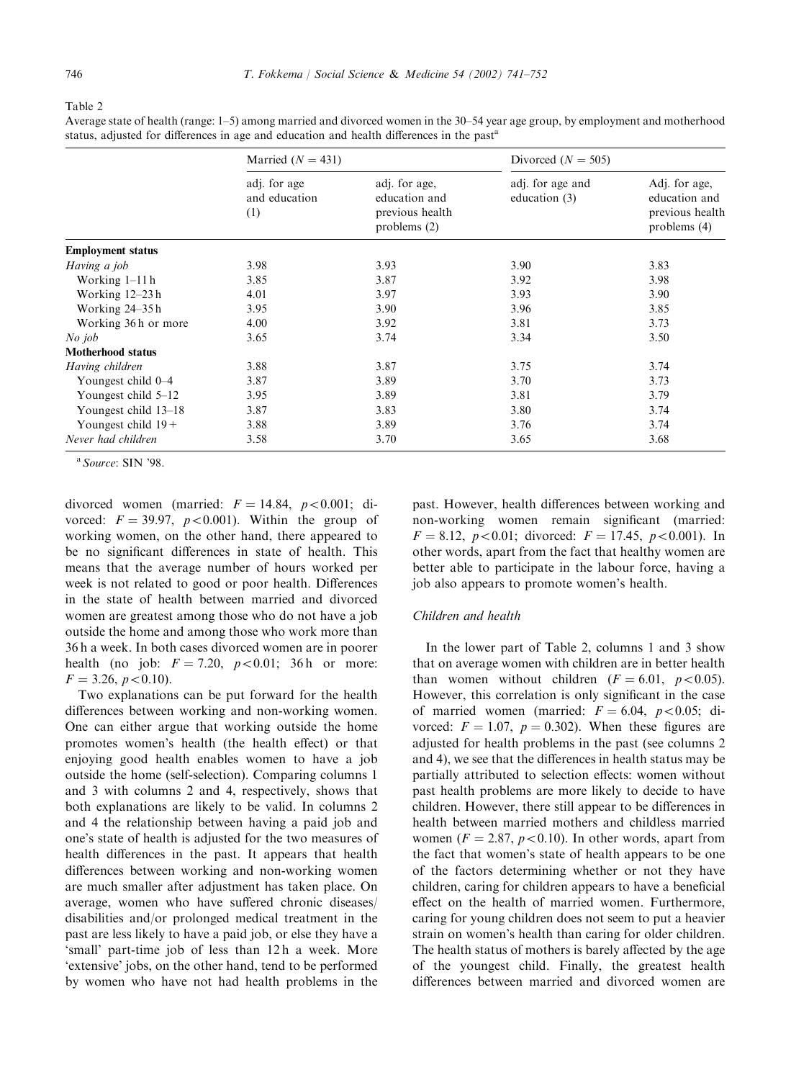Married  $(N = 431)$  Divorced  $(N = 505)$ adj. for age and education (1) adj. for age, education and previous health problems (2) adj. for age and education (3) Adj. for age, education and previous health problems (4) Employment status Having a job 3.98 3.98 3.93 3.90 3.83 Working 1–11 h 3.85 3.87 3.92 3.98 Working 12–23 h 4.01 4.01 3.97 3.93 3.90 Working 24–35 h 3.95 3.96 3.85 3.96 3.85 Working 36 h or more 4.00 3.92 3.81 3.73  $N_o$  job 3.50 3.74 3.50 Motherhood status Having children 3.88 3.87 3.75 3.74 3.74 Youngest child 0–4 3.87 3.89 3.70 3.73 Youngest child 5–12 3.95 3.89 3.81 3.79 Youngest child 13–18 3.87 3.83 3.80 3.74 Youngest child  $19+$  3.88 3.89 3.76 3.76 3.74 Never had children 3.58 3.58 3.70 3.65 3.68 3.68

Average state of health (range: 1–5) among married and divorced women in the 30–54 year age group, by employment and motherhood status, adjusted for differences in age and education and health differences in the past<sup>a</sup>

 $a$  Source: SIN '98.

divorced women (married:  $F = 14.84$ ,  $p < 0.001$ ; divorced:  $F = 39.97$ ,  $p < 0.001$ ). Within the group of working women, on the other hand, there appeared to be no significant differences in state of health. This means that the average number of hours worked per week is not related to good or poor health. Differences in the state of health between married and divorced women are greatest among those who do not have a job outside the home and among those who work more than 36 h a week. In both cases divorced women are in poorer health (no job:  $F = 7.20$ ,  $p < 0.01$ ; 36 h or more:  $F = 3.26, p < 0.10$ .

Two explanations can be put forward for the health differences between working and non-working women. One can either argue that working outside the home promotes women's health (the health effect) or that enjoying good health enables women to have a job outside the home (self-selection). Comparing columns 1 and 3 with columns 2 and 4, respectively, shows that both explanations are likely to be valid. In columns 2 and 4 the relationship between having a paid job and one's state of health is adjusted for the two measures of health differences in the past. It appears that health differences between working and non-working women are much smaller after adjustment has taken place. On average, women who have suffered chronic diseases/ disabilities and/or prolonged medical treatment in the past are less likely to have a paid job, or else they have a 'small' part-time job of less than 12 h a week. More 'extensive' jobs, on the other hand, tend to be performed by women who have not had health problems in the

past. However, health differences between working and non-working women remain significant (married:  $F = 8.12$ ,  $p < 0.01$ ; divorced:  $F = 17.45$ ,  $p < 0.001$ ). In other words, apart from the fact that healthy women are better able to participate in the labour force, having a job also appears to promote women's health.

# Children and health

In the lower part of Table 2, columns 1 and 3 show that on average women with children are in better health than women without children  $(F = 6.01, p < 0.05)$ . However, this correlation is only significant in the case of married women (married:  $F = 6.04$ ,  $p < 0.05$ ; divorced:  $F = 1.07$ ,  $p = 0.302$ ). When these figures are adjusted for health problems in the past (see columns 2 and 4), we see that the differences in health status may be partially attributed to selection effects: women without past health problems are more likely to decide to have children. However, there still appear to be differences in health between married mothers and childless married women ( $F = 2.87$ ,  $p < 0.10$ ). In other words, apart from the fact that women's state of health appears to be one of the factors determining whether or not they have children, caring for children appears to have a beneficial effect on the health of married women. Furthermore, caring for young children does not seem to put a heavier strain on women's health than caring for older children. The health status of mothers is barely affected by the age of the youngest child. Finally, the greatest health differences between married and divorced women are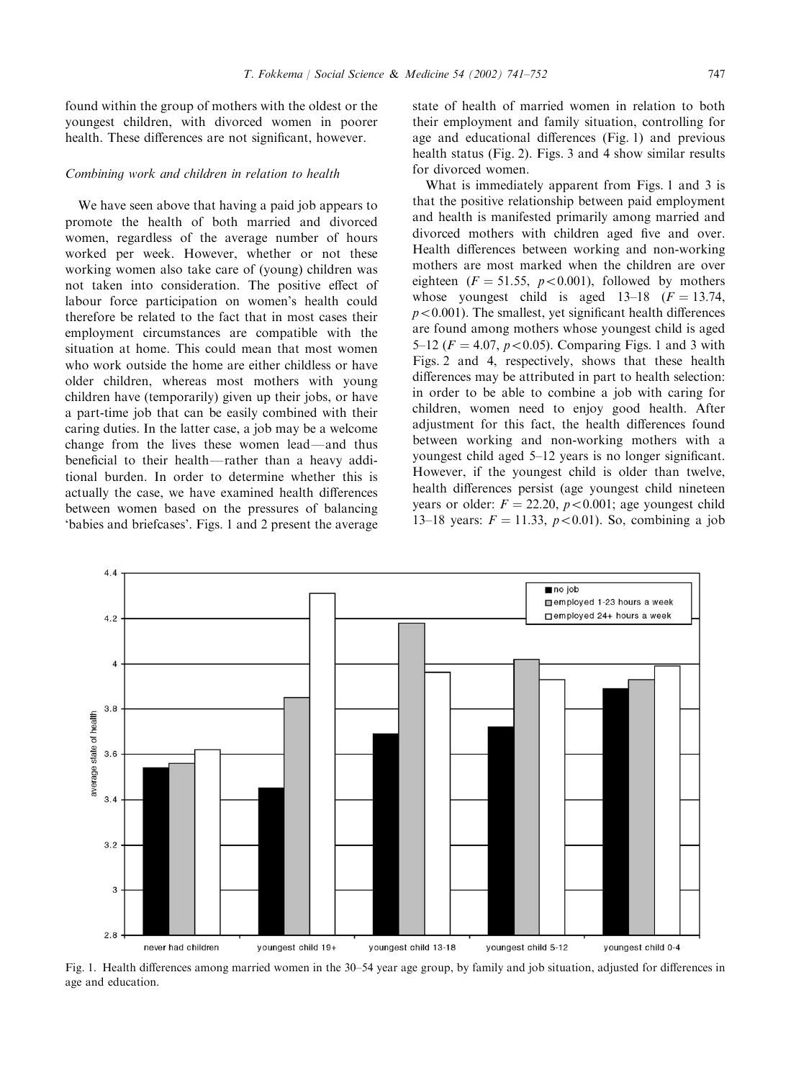found within the group of mothers with the oldest or the youngest children, with divorced women in poorer health. These differences are not significant, however.

## Combining work and children in relation to health

We have seen above that having a paid job appears to promote the health of both married and divorced women, regardless of the average number of hours worked per week. However, whether or not these working women also take care of (young) children was not taken into consideration. The positive effect of labour force participation on women's health could therefore be related to the fact that in most cases their employment circumstances are compatible with the situation at home. This could mean that most women who work outside the home are either childless or have older children, whereas most mothers with young children have (temporarily) given up their jobs, or have a part-time job that can be easily combined with their caring duties. In the latter case, a job may be a welcome change from the lives these women lead—and thus beneficial to their health—rather than a heavy additional burden. In order to determine whether this is actually the case, we have examined health differences between women based on the pressures of balancing 'babies and briefcases'. Figs. 1 and 2 present the average

 $4.4$ 

 $4.2$ 

state of health of married women in relation to both their employment and family situation, controlling for age and educational differences (Fig. 1) and previous health status (Fig. 2). Figs. 3 and 4 show similar results for divorced women.

What is immediately apparent from Figs. 1 and 3 is that the positive relationship between paid employment and health is manifested primarily among married and divorced mothers with children aged five and over. Health differences between working and non-working mothers are most marked when the children are over eighteen ( $F = 51.55$ ,  $p < 0.001$ ), followed by mothers whose youngest child is aged  $13-18$   $(F = 13.74,$  $p < 0.001$ ). The smallest, yet significant health differences are found among mothers whose youngest child is aged 5–12 ( $F = 4.07$ ,  $p < 0.05$ ). Comparing Figs. 1 and 3 with Figs. 2 and 4, respectively, shows that these health differences may be attributed in part to health selection: in order to be able to combine a job with caring for children, women need to enjoy good health. After adjustment for this fact, the health differences found between working and non-working mothers with a youngest child aged 5–12 years is no longer significant. However, if the youngest child is older than twelve, health differences persist (age youngest child nineteen years or older:  $F = 22.20$ ,  $p < 0.001$ ; age youngest child 13–18 years:  $F = 11.33, p < 0.01$ ). So, combining a job

 $\blacksquare$ no iob

employed 1-23 hours a week □employed 24+ hours a week



Fig. 1. Health differences among married women in the 30–54 year age group, by family and job situation, adjusted for differences in age and education.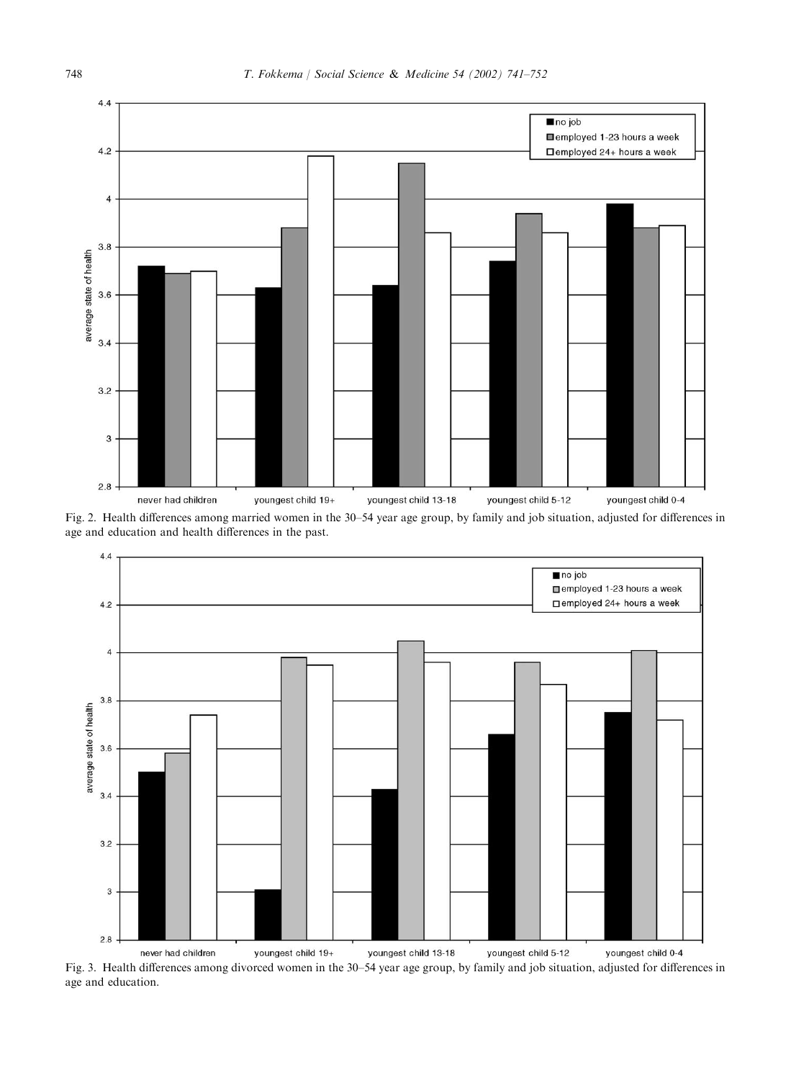

Fig. 2. Health differences among married women in the 30–54 year age group, by family and job situation, adjusted for differences in age and education and health differences in the past.



Fig. 3. Health differences among divorced women in the 30–54 year age group, by family and job situation, adjusted for differences in age and education.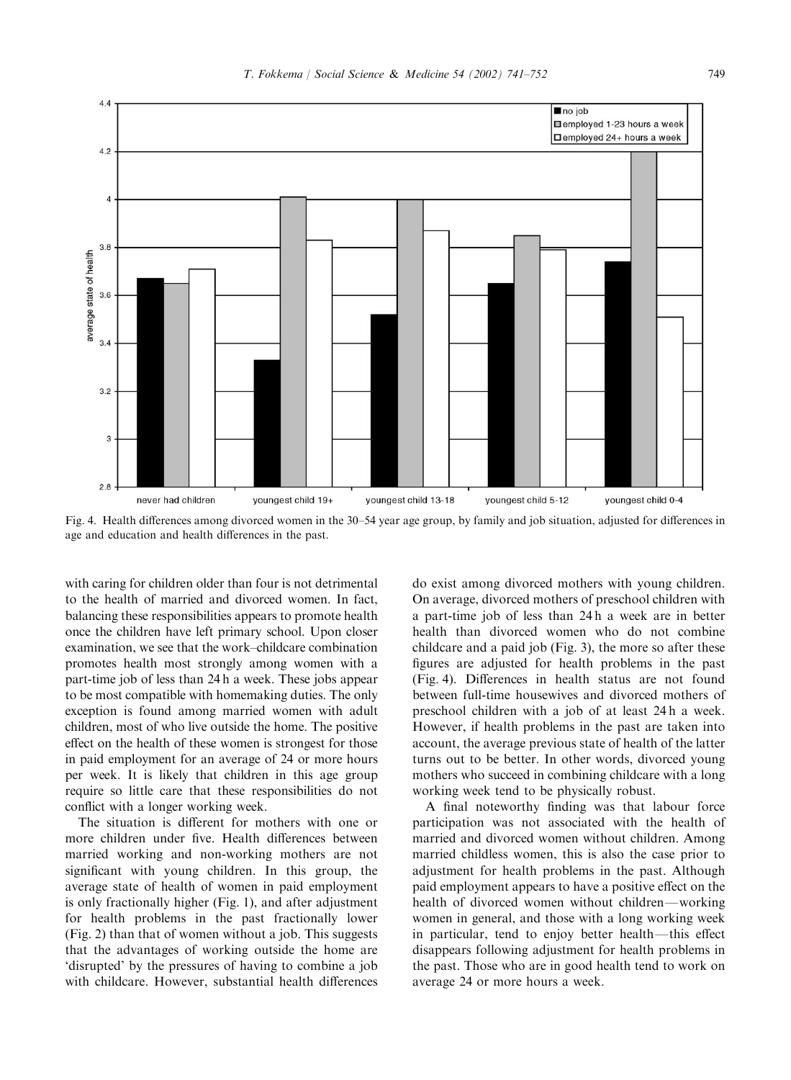

Fig. 4. Health differences among divorced women in the 30–54 year age group, by family and job situation, adjusted for differences in age and education and health differences in the past.

with caring for children older than four is not detrimental to the health of married and divorced women. In fact, balancing these responsibilities appears to promote health once the children have left primary school. Upon closer examination, we see that the work–childcare combination promotes health most strongly among women with a part-time job of less than 24 h a week. These jobs appear to be most compatible with homemaking duties. The only exception is found among married women with adult children, most of who live outside the home. The positive effect on the health of these women is strongest for those in paid employment for an average of 24 or more hours per week. It is likely that children in this age group require so little care that these responsibilities do not conflict with a longer working week.

The situation is different for mothers with one or more children under five. Health differences between married working and non-working mothers are not significant with young children. In this group, the average state of health of women in paid employment is only fractionally higher (Fig. 1), and after adjustment for health problems in the past fractionally lower (Fig. 2) than that of women without a job. This suggests that the advantages of working outside the home are 'disrupted' by the pressures of having to combine a job with childcare. However, substantial health differences do exist among divorced mothers with young children. On average, divorced mothers of preschool children with a part-time job of less than 24 h a week are in better health than divorced women who do not combine childcare and a paid job (Fig. 3), the more so after these figures are adjusted for health problems in the past (Fig. 4). Differences in health status are not found between full-time housewives and divorced mothers of preschool children with a job of at least 24 h a week. However, if health problems in the past are taken into account, the average previous state of health of the latter turns out to be better. In other words, divorced young mothers who succeed in combining childcare with a long working week tend to be physically robust.

A final noteworthy finding was that labour force participation was not associated with the health of married and divorced women without children. Among married childless women, this is also the case prior to adjustment for health problems in the past. Although paid employment appears to have a positive effect on the health of divorced women without children-working women in general, and those with a long working week in particular, tend to enjoy better health—this effect disappears following adjustment for health problems in the past. Those who are in good health tend to work on average 24 or more hours a week.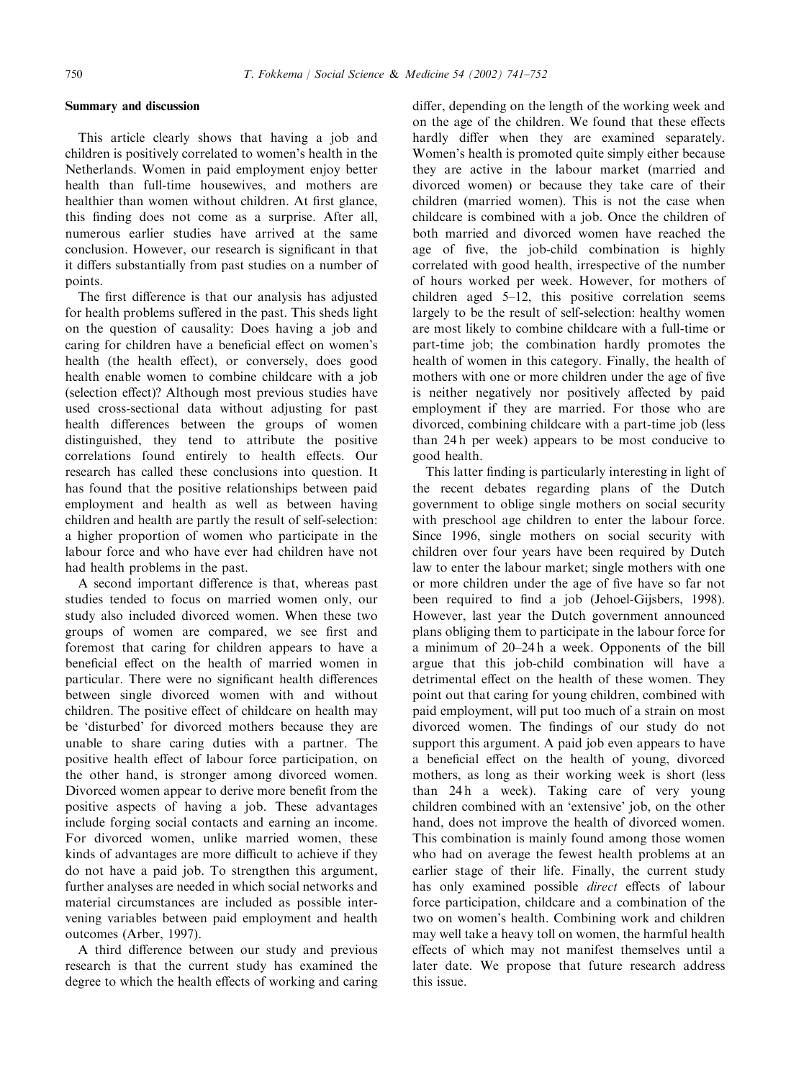# Summary and discussion

This article clearly shows that having a job and children is positively correlated to women's health in the Netherlands. Women in paid employment enjoy better health than full-time housewives, and mothers are healthier than women without children. At first glance, this finding does not come as a surprise. After all, numerous earlier studies have arrived at the same conclusion. However, our research is significant in that it differs substantially from past studies on a number of points.

The first difference is that our analysis has adjusted for health problems suffered in the past. This sheds light on the question of causality: Does having a job and caring for children have a beneficial effect on women's health (the health effect), or conversely, does good health enable women to combine childcare with a job (selection effect)? Although most previous studies have used cross-sectional data without adjusting for past health differences between the groups of women distinguished, they tend to attribute the positive correlations found entirely to health effects. Our research has called these conclusions into question. It has found that the positive relationships between paid employment and health as well as between having children and health are partly the result of self-selection: a higher proportion of women who participate in the labour force and who have ever had children have not had health problems in the past.

A second important difference is that, whereas past studies tended to focus on married women only, our study also included divorced women. When these two groups of women are compared, we see first and foremost that caring for children appears to have a beneficial effect on the health of married women in particular. There were no significant health differences between single divorced women with and without children. The positive effect of childcare on health may be 'disturbed' for divorced mothers because they are unable to share caring duties with a partner. The positive health effect of labour force participation, on the other hand, is stronger among divorced women. Divorced women appear to derive more benefit from the positive aspects of having a job. These advantages include forging social contacts and earning an income. For divorced women, unlike married women, these kinds of advantages are more difficult to achieve if they do not have a paid job. To strengthen this argument, further analyses are needed in which social networks and material circumstances are included as possible intervening variables between paid employment and health outcomes (Arber, 1997).

A third difference between our study and previous research is that the current study has examined the degree to which the health effects of working and caring differ, depending on the length of the working week and on the age of the children. We found that these effects hardly differ when they are examined separately. Women's health is promoted quite simply either because they are active in the labour market (married and divorced women) or because they take care of their children (married women). This is not the case when childcare is combined with a job. Once the children of both married and divorced women have reached the age of five, the job-child combination is highly correlated with good health, irrespective of the number of hours worked per week. However, for mothers of children aged 5–12, this positive correlation seems largely to be the result of self-selection: healthy women are most likely to combine childcare with a full-time or part-time job; the combination hardly promotes the health of women in this category. Finally, the health of mothers with one or more children under the age of five is neither negatively nor positively affected by paid employment if they are married. For those who are divorced, combining childcare with a part-time job (less than 24 h per week) appears to be most conducive to good health.

This latter finding is particularly interesting in light of the recent debates regarding plans of the Dutch government to oblige single mothers on social security with preschool age children to enter the labour force. Since 1996, single mothers on social security with children over four years have been required by Dutch lawto enter the labour market; single mothers with one or more children under the age of five have so far not been required to find a job (Jehoel-Gijsbers, 1998). However, last year the Dutch government announced plans obliging them to participate in the labour force for a minimum of 20–24 h a week. Opponents of the bill argue that this job-child combination will have a detrimental effect on the health of these women. They point out that caring for young children, combined with paid employment, will put too much of a strain on most divorced women. The findings of our study do not support this argument. A paid job even appears to have a beneficial effect on the health of young, divorced mothers, as long as their working week is short (less than 24h a week). Taking care of very young children combined with an 'extensive' job, on the other hand, does not improve the health of divorced women. This combination is mainly found among those women who had on average the fewest health problems at an earlier stage of their life. Finally, the current study has only examined possible direct effects of labour force participation, childcare and a combination of the two on women's health. Combining work and children may well take a heavy toll on women, the harmful health effects of which may not manifest themselves until a later date. We propose that future research address this issue.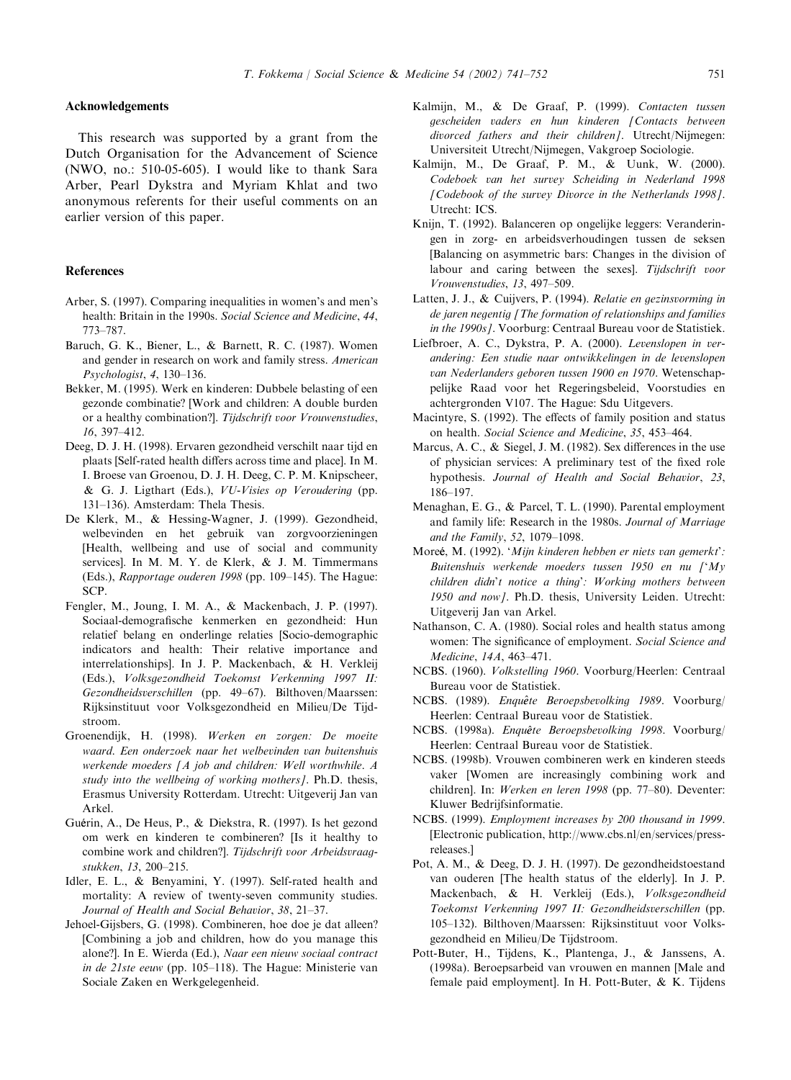## Acknowledgements

This research was supported by a grant from the Dutch Organisation for the Advancement of Science (NWO, no.: 510-05-605). I would like to thank Sara Arber, Pearl Dykstra and Myriam Khlat and two anonymous referents for their useful comments on an earlier version of this paper.

## **References**

- Arber, S. (1997). Comparing inequalities in women's and men's health: Britain in the 1990s. Social Science and Medicine, 44, 773–787.
- Baruch, G. K., Biener, L., & Barnett, R. C. (1987). Women and gender in research on work and family stress. American Psychologist, 4, 130–136.
- Bekker, M. (1995). Werk en kinderen: Dubbele belasting of een gezonde combinatie? [Work and children: A double burden or a healthy combination?]. Tijdschrift voor Vrouwenstudies, 16, 397–412.
- Deeg, D. J. H. (1998). Ervaren gezondheid verschilt naar tijd en plaats [Self-rated health differs across time and place]. In M. I. Broese van Groenou, D. J. H. Deeg, C. P. M. Knipscheer, a G. J. Ligthart (Eds.), VU-Visies op Veroudering (pp. 131–136). Amsterdam: Thela Thesis.
- De Klerk, M., & Hessing-Wagner, J. (1999). Gezondheid, welbevinden en het gebruik van zorgvoorzieningen [Health, wellbeing and use of social and community services]. In M. M. Y. de Klerk, & J. M. Timmermans (Eds.), Rapportage ouderen 1998 (pp. 109–145). The Hague: SCP.
- Fengler, M., Joung, I. M. A., & Mackenbach, J. P. (1997). Sociaal-demografische kenmerken en gezondheid: Hun relatief belang en onderlinge relaties [Socio-demographic indicators and health: Their relative importance and interrelationships]. In J. P. Mackenbach, & H. Verkleij (Eds.), Volksgezondheid Toekomst Verkenning 1997 II: Gezondheidsverschillen (pp. 49–67). Bilthoven/Maarssen: Rijksinstituut voor Volksgezondheid en Milieu/De Tijdstroom.
- Groenendijk, H. (1998). Werken en zorgen: De moeite waard. Een onderzoek naar het welbevinden van buitenshuis werkende moeders [A job and children: Well worthwhile. A study into the wellbeing of working mothers]. Ph.D. thesis, Erasmus University Rotterdam. Utrecht: Uitgeverij Jan van Arkel.
- Guérin, A., De Heus, P., & Diekstra, R. (1997). Is het gezond om werk en kinderen te combineren? [Is it healthy to combine work and children?]. Tijdschrift voor Arbeidsvraagstukken, 13, 200–215.
- Idler, E. L., & Benyamini, Y. (1997). Self-rated health and mortality: A review of twenty-seven community studies. Journal of Health and Social Behavior, 38, 21–37.
- Jehoel-Gijsbers, G. (1998). Combineren, hoe doe je dat alleen? [Combining a job and children, howdo you manage this alone?]. In E. Wierda (Ed.), Naar een nieuw sociaal contract in de 21ste eeuw (pp. 105–118). The Hague: Ministerie van Sociale Zaken en Werkgelegenheid.
- Kalmijn, M., & De Graaf, P. (1999). Contacten tussen gescheiden vaders en hun kinderen [Contacts between divorced fathers and their children]. Utrecht/Nijmegen: Universiteit Utrecht/Nijmegen, Vakgroep Sociologie.
- Kalmijn, M., De Graaf, P. M., & Uunk, W. (2000). Codeboek van het survey Scheiding in Nederland 1998 [Codebook of the survey Divorce in the Netherlands 1998]. Utrecht: ICS.
- Knijn, T. (1992). Balanceren op ongelijke leggers: Veranderingen in zorg- en arbeidsverhoudingen tussen de seksen [Balancing on asymmetric bars: Changes in the division of labour and caring between the sexes]. Tijdschrift voor Vrouwenstudies, 13, 497–509.
- Latten, J. J., & Cuijvers, P. (1994). Relatie en gezinsvorming in de jaren negentig [The formation of relationships and families in the 1990s]. Voorburg: Centraal Bureau voor de Statistiek.
- Liefbroer, A. C., Dykstra, P. A. (2000). Levenslopen in verandering: Een studie naar ontwikkelingen in de levenslopen van Nederlanders geboren tussen 1900 en 1970. Wetenschappelijke Raad voor het Regeringsbeleid, Voorstudies en achtergronden V107. The Hague: Sdu Uitgevers.
- Macintyre, S. (1992). The effects of family position and status on health. Social Science and Medicine, 35, 453–464.
- Marcus, A. C., & Siegel, J. M. (1982). Sex differences in the use of physician services: A preliminary test of the fixed role hypothesis. Journal of Health and Social Behavior, 23, 186–197.
- Menaghan, E. G., & Parcel, T. L. (1990). Parental employment and family life: Research in the 1980s. Journal of Marriage and the Family, 52, 1079–1098.
- Moreé, M. (1992). 'Mijn kinderen hebben er niets van gemerkt': Buitenshuis werkende moeders tussen 1950 en nu ['My children didn't notice a thing': Working mothers between 1950 and now]. Ph.D. thesis, University Leiden. Utrecht: Uitgeverij Jan van Arkel.
- Nathanson, C. A. (1980). Social roles and health status among women: The significance of employment. Social Science and Medicine, 14A, 463–471.
- NCBS. (1960). Volkstelling 1960. Voorburg/Heerlen: Centraal Bureau voor de Statistiek.
- NCBS. (1989). Enquête Beroepsbevolking 1989. Voorburg/ Heerlen: Centraal Bureau voor de Statistiek.
- NCBS. (1998a). Enquête Beroepsbevolking 1998. Voorburg/ Heerlen: Centraal Bureau voor de Statistiek.
- NCBS. (1998b). Vrouwen combineren werk en kinderen steeds vaker [Women are increasingly combining work and children]. In: Werken en leren 1998 (pp. 77–80). Deventer: Kluwer Bedrijfsinformatie.
- NCBS. (1999). Employment increases by 200 thousand in 1999. [Electronic publication, http://www.cbs.nl/en/services/pressreleases.]
- Pot, A. M., & Deeg, D. J. H. (1997). De gezondheidstoestand van ouderen [The health status of the elderly]. In J. P. Mackenbach, & H. Verkleij (Eds.), Volksgezondheid Toekomst Verkenning 1997 II: Gezondheidsverschillen (pp. 105–132). Bilthoven/Maarssen: Rijksinstituut voor Volksgezondheid en Milieu/De Tijdstroom.
- Pott-Buter, H., Tijdens, K., Plantenga, J., & Janssens, A. (1998a). Beroepsarbeid van vrouwen en mannen [Male and female paid employment]. In H. Pott-Buter,  $\&$  K. Tijdens